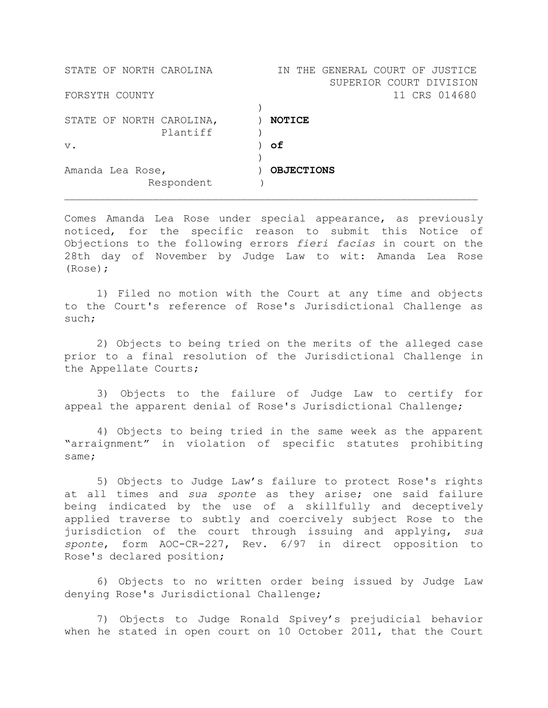| STATE OF NORTH CAROLINA  | THE GENERAL COURT OF JUSTICE<br>T N |
|--------------------------|-------------------------------------|
|                          | SUPERIOR COURT DIVISION             |
| FORSYTH COUNTY           | 11 CRS 014680                       |
|                          |                                     |
| STATE OF NORTH CAROLINA, | <b>NOTICE</b>                       |
| Plantiff                 |                                     |
| $V$ .                    | оf                                  |
|                          |                                     |
| Amanda Lea Rose,         | <b>OBJECTIONS</b>                   |
| Respondent               |                                     |
|                          |                                     |

Comes Amanda Lea Rose under special appearance, as previously noticed, for the specific reason to submit this Notice of Objections to the following errors *fieri facias* in court on the 28th day of November by Judge Law to wit: Amanda Lea Rose (Rose);

1) Filed no motion with the Court at any time and objects to the Court's reference of Rose's Jurisdictional Challenge as such;

2) Objects to being tried on the merits of the alleged case prior to a final resolution of the Jurisdictional Challenge in the Appellate Courts;

3) Objects to the failure of Judge Law to certify for appeal the apparent denial of Rose's Jurisdictional Challenge;

4) Objects to being tried in the same week as the apparent "arraignment" in violation of specific statutes prohibiting same;

5) Objects to Judge Law's failure to protect Rose's rights at all times and *sua sponte* as they arise; one said failure being indicated by the use of a skillfully and deceptively applied traverse to subtly and coercively subject Rose to the jurisdiction of the court through issuing and applying, *sua sponte*, form AOC-CR-227, Rev. 6/97 in direct opposition to Rose's declared position;

6) Objects to no written order being issued by Judge Law denying Rose's Jurisdictional Challenge;

7) Objects to Judge Ronald Spivey's prejudicial behavior when he stated in open court on 10 October 2011, that the Court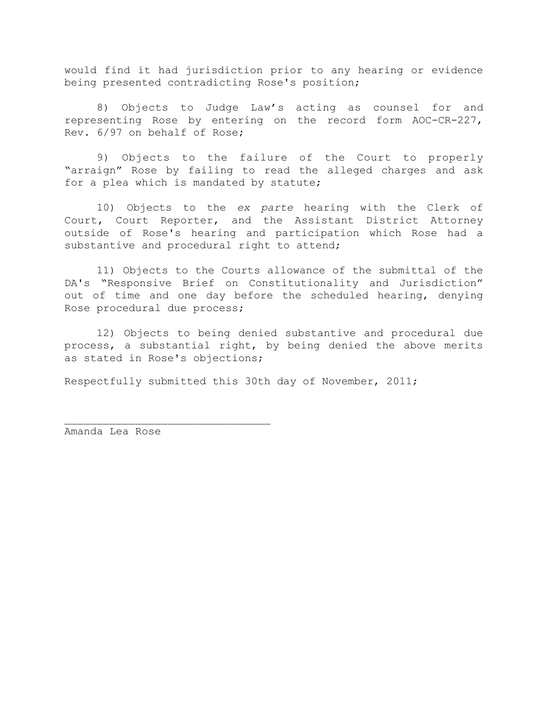would find it had jurisdiction prior to any hearing or evidence being presented contradicting Rose's position;

8) Objects to Judge Law's acting as counsel for and representing Rose by entering on the record form AOC-CR-227, Rev. 6/97 on behalf of Rose;

9) Objects to the failure of the Court to properly "arraign" Rose by failing to read the alleged charges and ask for a plea which is mandated by statute;

10) Objects to the *ex parte* hearing with the Clerk of Court, Court Reporter, and the Assistant District Attorney outside of Rose's hearing and participation which Rose had a substantive and procedural right to attend;

11) Objects to the Courts allowance of the submittal of the DA's "Responsive Brief on Constitutionality and Jurisdiction" out of time and one day before the scheduled hearing, denying Rose procedural due process;

12) Objects to being denied substantive and procedural due process, a substantial right, by being denied the above merits as stated in Rose's objections;

Respectfully submitted this 30th day of November, 2011;

Amanda Lea Rose

 $\overline{\phantom{a}}$  , and the set of the set of the set of the set of the set of the set of the set of the set of the set of the set of the set of the set of the set of the set of the set of the set of the set of the set of the s